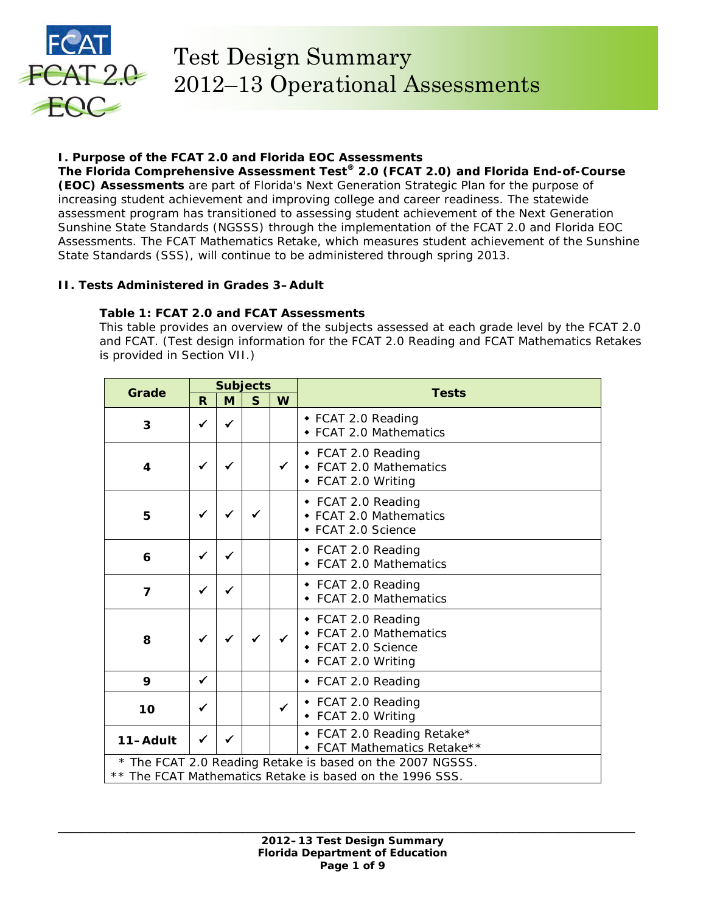

# **I. Purpose of the FCAT 2.0 and Florida EOC Assessments**

**The Florida Comprehensive Assessment Test® 2.0 (FCAT 2.0) and Florida End-of-Course (EOC) Assessments** are part of Florida's Next Generation Strategic Plan for the purpose of increasing student achievement and improving college and career readiness. The statewide assessment program has transitioned to assessing student achievement of the Next Generation Sunshine State Standards (NGSSS) through the implementation of the FCAT 2.0 and Florida EOC Assessments. The FCAT Mathematics Retake, which measures student achievement of the Sunshine State Standards (SSS), will continue to be administered through spring 2013.

# **II. Tests Administered in Grades 3–Adult**

# **Table 1: FCAT 2.0 and FCAT Assessments**

*This table provides an overview of the subjects assessed at each grade level by the FCAT 2.0 and FCAT. (Test design information for the FCAT 2.0 Reading and FCAT Mathematics Retakes is provided in Section VII.)* 

| Grade          | <b>Subjects</b> |              |              | <b>Tests</b> |                                                                                                                       |
|----------------|-----------------|--------------|--------------|--------------|-----------------------------------------------------------------------------------------------------------------------|
|                | R               | M            | $\mathsf{s}$ | W            |                                                                                                                       |
| 3              | $\checkmark$    | $\checkmark$ |              |              | ◆ FCAT 2.0 Reading<br>◆ FCAT 2.0 Mathematics                                                                          |
| 4              | $\checkmark$    | ✔            |              | $\checkmark$ | ◆ FCAT 2.0 Reading<br>• FCAT 2.0 Mathematics<br>◆ FCAT 2.0 Writing                                                    |
| 5              | $\checkmark$    | ✓            |              |              | ◆ FCAT 2.0 Reading<br>◆ FCAT 2.0 Mathematics<br>◆ FCAT 2.0 Science                                                    |
| 6              | ✓               | ✔            |              |              | ◆ FCAT 2.0 Reading<br>FCAT 2.0 Mathematics                                                                            |
| $\overline{7}$ | ✓               | ✔            |              |              | ◆ FCAT 2.0 Reading<br>• FCAT 2.0 Mathematics                                                                          |
| 8              |                 |              |              |              | ◆ FCAT 2.0 Reading<br>• FCAT 2.0 Mathematics<br>◆ FCAT 2.0 Science<br>• FCAT 2.0 Writing                              |
| 9              | $\checkmark$    |              |              |              | ◆ FCAT 2.0 Reading                                                                                                    |
| 10             | ✓               |              |              | $\checkmark$ | ◆ FCAT 2.0 Reading<br>• FCAT 2.0 Writing                                                                              |
| 11-Adult       | ✓               | $\checkmark$ |              |              | • FCAT 2.0 Reading Retake*<br>• FCAT Mathematics Retake**                                                             |
|                |                 |              |              |              | * The FCAT 2.0 Reading Retake is based on the 2007 NGSSS.<br>** The FCAT Mathematics Retake is based on the 1996 SSS. |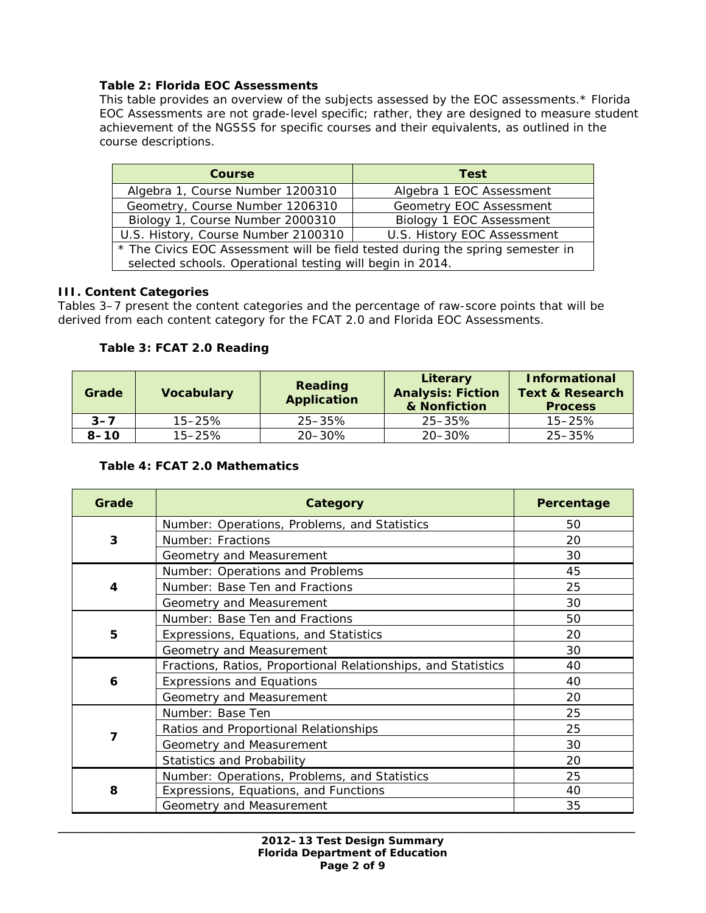### **Table 2: Florida EOC Assessments**

*This table provides an overview of the subjects assessed by the EOC assessments.\* Florida EOC Assessments are not grade-level specific; rather, they are designed to measure student achievement of the NGSSS for specific courses and their equivalents, as outlined in the course descriptions.*

| <b>Course</b>                                                                                                                               | <b>Test</b>                 |  |
|---------------------------------------------------------------------------------------------------------------------------------------------|-----------------------------|--|
| Algebra 1, Course Number 1200310                                                                                                            | Algebra 1 EOC Assessment    |  |
| Geometry, Course Number 1206310                                                                                                             | Geometry EOC Assessment     |  |
| Biology 1, Course Number 2000310                                                                                                            | Biology 1 EOC Assessment    |  |
| U.S. History, Course Number 2100310                                                                                                         | U.S. History EOC Assessment |  |
| * The Civics EOC Assessment will be field tested during the spring semester in<br>selected schools. Operational testing will begin in 2014. |                             |  |

#### **III. Content Categories**

Tables 3–7 present the content categories and the percentage of raw-score points that will be derived from each content category for the FCAT 2.0 and Florida EOC Assessments.

### **Table 3: FCAT 2.0 Reading**

| Grade    | <b>Vocabulary</b> | Reading<br><b>Application</b> | Literary<br><b>Analysis: Fiction</b><br>& Nonfiction | <b>Informational</b><br><b>Text &amp; Research</b><br><b>Process</b> |
|----------|-------------------|-------------------------------|------------------------------------------------------|----------------------------------------------------------------------|
| $3 - 7$  | $15 - 25%$        | $25 - 35\%$                   | $25 - 35\%$                                          | $15 - 25%$                                                           |
| $8 - 10$ | $15 - 25%$        | $20 - 30\%$                   | $20 - 30\%$                                          | 25-35%                                                               |

#### **Table 4: FCAT 2.0 Mathematics**

| Grade | Category                                                      | Percentage |
|-------|---------------------------------------------------------------|------------|
|       | Number: Operations, Problems, and Statistics                  | 50         |
| 3     | Number: Fractions                                             | 20         |
|       | Geometry and Measurement                                      | 30         |
|       | Number: Operations and Problems                               | 45         |
| 4     | Number: Base Ten and Fractions                                | 25         |
|       | Geometry and Measurement                                      | 30         |
|       | Number: Base Ten and Fractions                                | 50         |
| 5     | Expressions, Equations, and Statistics                        | 20         |
|       | Geometry and Measurement                                      | 30         |
|       | Fractions, Ratios, Proportional Relationships, and Statistics | 40         |
| 6     | <b>Expressions and Equations</b>                              | 40         |
|       | Geometry and Measurement                                      | 20         |
|       | Number: Base Ten                                              | 25         |
| 7     | Ratios and Proportional Relationships                         | 25         |
|       | Geometry and Measurement                                      | 30         |
|       | <b>Statistics and Probability</b>                             | 20         |
|       | Number: Operations, Problems, and Statistics                  | 25         |
| 8     | Expressions, Equations, and Functions                         | 40         |
|       | Geometry and Measurement                                      | 35         |

\_\_\_\_\_\_\_\_\_\_\_\_\_\_\_\_\_\_\_\_\_\_\_\_\_\_\_\_\_\_\_\_\_\_\_\_\_\_\_\_\_\_\_\_\_\_\_\_\_\_\_\_\_\_\_\_\_\_\_\_\_\_\_\_\_\_\_\_\_\_\_\_\_\_\_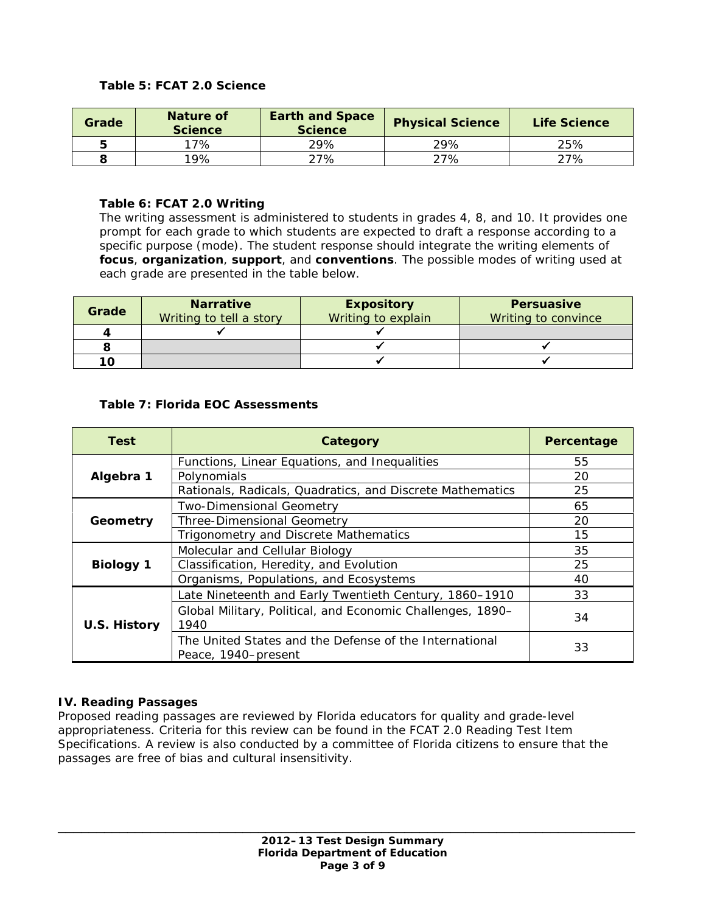### **Table 5: FCAT 2.0 Science**

| Grade | Nature of<br><b>Science</b> | <b>Earth and Space</b><br><b>Science</b> | <b>Physical Science</b> | Life Science |
|-------|-----------------------------|------------------------------------------|-------------------------|--------------|
|       | 17%                         | 29%                                      | 29%                     | 25%          |
|       | $19\%$                      | 27%                                      | 27%                     | 27%          |

### **Table 6: FCAT 2.0 Writing**

*The writing assessment is administered to students in grades 4, 8, and 10. It provides one prompt for each grade to which students are expected to draft a response according to a specific purpose (mode). The student response should integrate the writing elements of focus, organization, support, and conventions. The possible modes of writing used at each grade are presented in the table below.* 

| Grade | <b>Narrative</b><br>Writing to tell a story | <b>Expository</b><br>Writing to explain | <b>Persuasive</b><br>Writing to convince |
|-------|---------------------------------------------|-----------------------------------------|------------------------------------------|
|       |                                             |                                         |                                          |
|       |                                             |                                         |                                          |
| 10    |                                             |                                         |                                          |

### **Table 7: Florida EOC Assessments**

| <b>Test</b>         | Category                                                                      | Percentage |
|---------------------|-------------------------------------------------------------------------------|------------|
|                     | Functions, Linear Equations, and Inequalities                                 | 55         |
| Algebra 1           | Polynomials                                                                   | 20         |
|                     | Rationals, Radicals, Quadratics, and Discrete Mathematics                     | 25         |
|                     | <b>Two-Dimensional Geometry</b>                                               | 65         |
| Geometry            | <b>Three-Dimensional Geometry</b>                                             | 20         |
|                     | Trigonometry and Discrete Mathematics                                         | 15         |
|                     | Molecular and Cellular Biology                                                | 35         |
| <b>Biology 1</b>    | Classification, Heredity, and Evolution                                       | 25         |
|                     | Organisms, Populations, and Ecosystems                                        | 40         |
|                     | Late Nineteenth and Early Twentieth Century, 1860-1910                        | 33         |
| <b>U.S. History</b> | Global Military, Political, and Economic Challenges, 1890-<br>1940            | 34         |
|                     | The United States and the Defense of the International<br>Peace, 1940–present | 33         |

#### **IV. Reading Passages**

Proposed reading passages are reviewed by Florida educators for quality and grade-level appropriateness. Criteria for this review can be found in the *FCAT 2.0 Reading Test Item Specifications.* A review is also conducted by a committee of Florida citizens to ensure that the passages are free of bias and cultural insensitivity.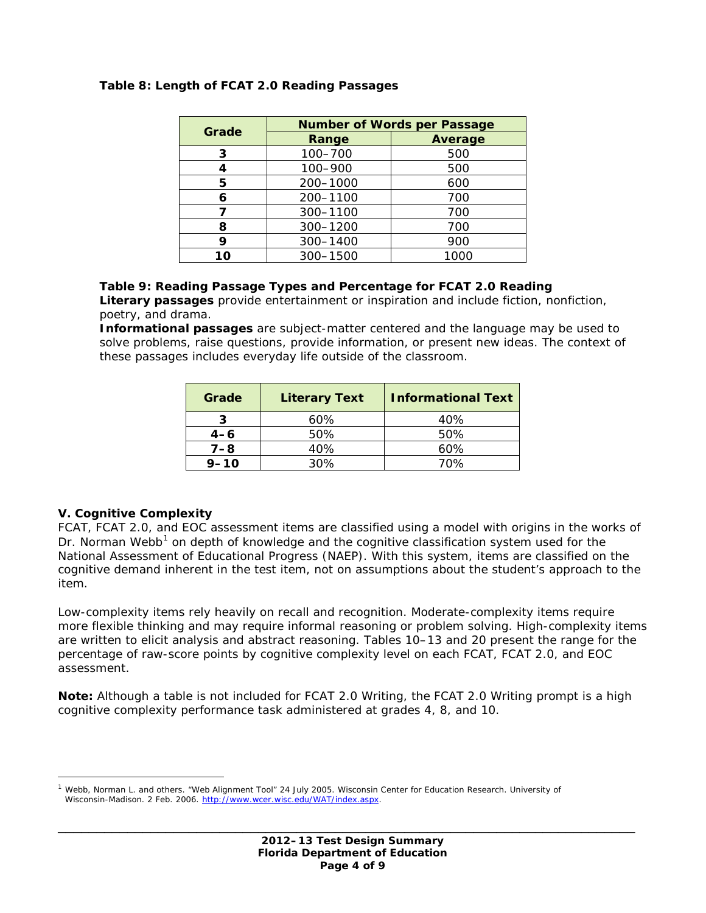| Grade | <b>Number of Words per Passage</b> |                |  |
|-------|------------------------------------|----------------|--|
|       | Range                              | <b>Average</b> |  |
| 3     | 100-700                            | 500            |  |
|       | 100-900                            | 500            |  |
| 5     | 200-1000                           | 600            |  |
| 6     | 200-1100                           | 700            |  |
|       | 300-1100                           | 700            |  |
| 8     | 300-1200                           | 700            |  |
| Q     | 300-1400                           | 900            |  |
| 10    | 300-1500                           | 1000           |  |

### **Table 8: Length of FCAT 2.0 Reading Passages**

#### **Table 9: Reading Passage Types and Percentage for FCAT 2.0 Reading**

*Literary passages provide entertainment or inspiration and include fiction, nonfiction, poetry, and drama.* 

*Informational passages are subject-matter centered and the language may be used to solve problems, raise questions, provide information, or present new ideas. The context of these passages includes everyday life outside of the classroom.*

| Grade    | <b>Literary Text</b> | <b>Informational Text</b> |
|----------|----------------------|---------------------------|
|          | 60%                  | 40%                       |
| $4 - 6$  | 50%                  | 50%                       |
| $7 - 8$  | 40%                  | 60%                       |
| $9 - 10$ | 30%                  | 70%                       |

#### **V. Cognitive Complexity**

 $\overline{a}$ 

FCAT, FCAT 2.0, and EOC assessment items are classified using a model with origins in the works of Dr. Norman Webb<sup>[1](#page-3-0)</sup> on depth of knowledge and the cognitive classification system used for the National Assessment of Educational Progress (NAEP). With this system, items are classified on the cognitive demand inherent in the test item, not on assumptions about the student's approach to the item.

Low-complexity items rely heavily on recall and recognition. Moderate-complexity items require more flexible thinking and may require informal reasoning or problem solving. High-complexity items are written to elicit analysis and abstract reasoning. Tables 10–13 and 20 present the range for the percentage of raw-score points by cognitive complexity level on each FCAT, FCAT 2.0, and EOC assessment.

**Note:** Although a table is not included for FCAT 2.0 Writing, the FCAT 2.0 Writing prompt is a high cognitive complexity performance task administered at grades 4, 8, and 10.

<span id="page-3-0"></span>Webb, Norman L. and others. "Web Alignment Tool" 24 July 2005. Wisconsin Center for Education Research. University of Wisconsin-Madison. 2 Feb. 2006. [http://www.wcer.wisc.edu/WAT/index.aspx.](http://www.wcer.wisc.edu/WAT/index.aspx)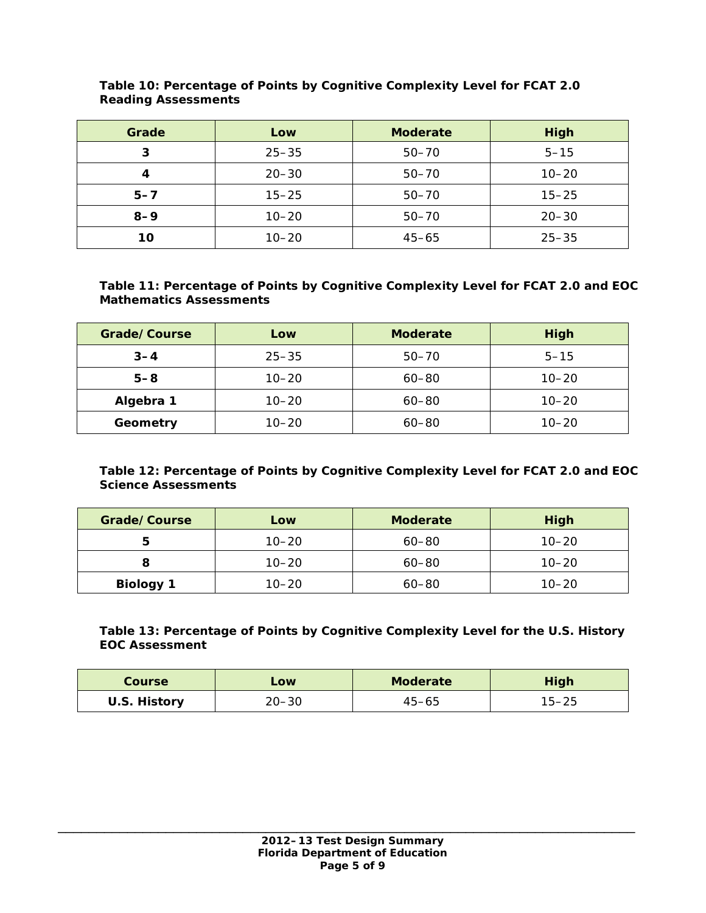| Grade   | Low       | <b>Moderate</b> | High      |
|---------|-----------|-----------------|-----------|
| З       | $25 - 35$ | $50 - 70$       | $5 - 15$  |
|         | $20 - 30$ | $50 - 70$       | $10 - 20$ |
| $5 - 7$ | $15 - 25$ | $50 - 70$       | $15 - 25$ |
| $8 - 9$ | $10 - 20$ | $50 - 70$       | $20 - 30$ |
| 10      | $10 - 20$ | $45 - 65$       | $25 - 35$ |

#### **Table 10: Percentage of Points by Cognitive Complexity Level for FCAT 2.0 Reading Assessments**

## **Table 11: Percentage of Points by Cognitive Complexity Level for FCAT 2.0 and EOC Mathematics Assessments**

| Grade/Course | Low       | <b>Moderate</b> | <b>High</b> |
|--------------|-----------|-----------------|-------------|
| $3 - 4$      | $25 - 35$ | $50 - 70$       | $5 - 15$    |
| $5 - 8$      | $10 - 20$ | $60 - 80$       | $10 - 20$   |
| Algebra 1    | $10 - 20$ | $60 - 80$       | $10 - 20$   |
| Geometry     | $10 - 20$ | $60 - 80$       | $10 - 20$   |

# **Table 12: Percentage of Points by Cognitive Complexity Level for FCAT 2.0 and EOC Science Assessments**

| Grade/Course     | Low       | <b>Moderate</b> | <b>High</b> |
|------------------|-----------|-----------------|-------------|
|                  | $10 - 20$ | $60 - 80$       | $10 - 20$   |
|                  | $10 - 20$ | $60 - 80$       | $10 - 20$   |
| <b>Biology 1</b> | $10 - 20$ | $60 - 80$       | $10 - 20$   |

## **Table 13: Percentage of Points by Cognitive Complexity Level for the U.S. History EOC Assessment**

| Course       | LOW       | <b>Moderate</b> | High |
|--------------|-----------|-----------------|------|
| U.S. History | $20 - 30$ | $45 - 65$       | פ∠–כ |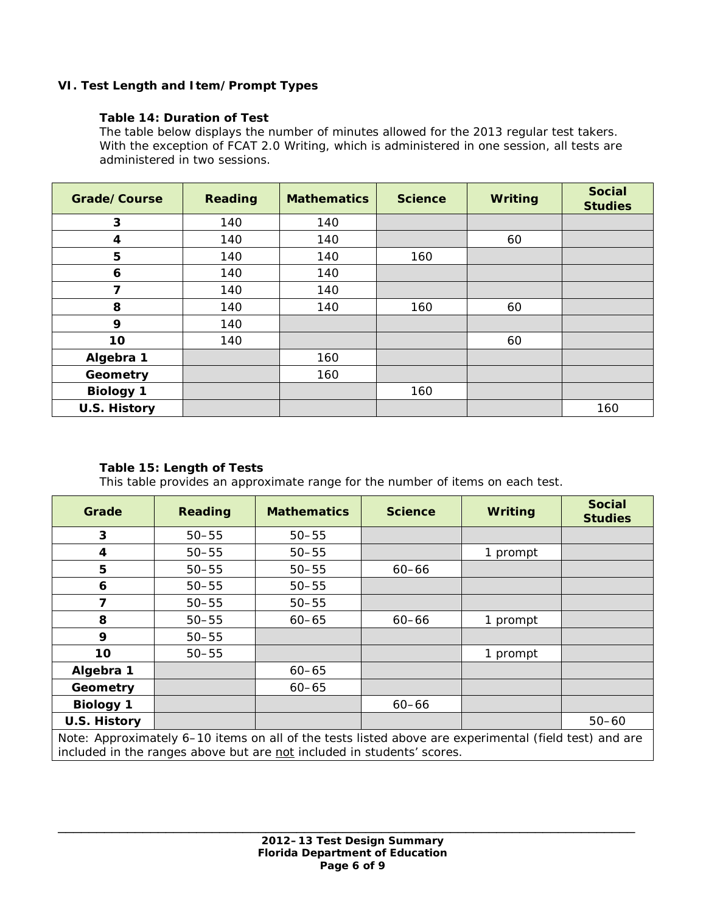# **VI. Test Length and Item/Prompt Types**

## **Table 14: Duration of Test**

*The table below displays the number of minutes allowed for the 2013 regular test takers. With the exception of FCAT 2.0 Writing, which is administered in one session, all tests are administered in two sessions.*

| Grade/Course            | <b>Reading</b> | <b>Mathematics</b> | <b>Science</b> | Writing | <b>Social</b><br><b>Studies</b> |
|-------------------------|----------------|--------------------|----------------|---------|---------------------------------|
| 3                       | 140            | 140                |                |         |                                 |
| 4                       | 140            | 140                |                | 60      |                                 |
| 5                       | 140            | 140                | 160            |         |                                 |
| 6                       | 140            | 140                |                |         |                                 |
| $\overline{\mathbf{z}}$ | 140            | 140                |                |         |                                 |
| 8                       | 140            | 140                | 160            | 60      |                                 |
| 9                       | 140            |                    |                |         |                                 |
| 10                      | 140            |                    |                | 60      |                                 |
| Algebra 1               |                | 160                |                |         |                                 |
| Geometry                |                | 160                |                |         |                                 |
| <b>Biology 1</b>        |                |                    | 160            |         |                                 |
| U.S. History            |                |                    |                |         | 160                             |

## **Table 15: Length of Tests**

*This table provides an approximate range for the number of items on each test.*

| Grade                                                                                               | <b>Reading</b> | <b>Mathematics</b> | <b>Science</b> | Writing  | <b>Social</b><br><b>Studies</b> |
|-----------------------------------------------------------------------------------------------------|----------------|--------------------|----------------|----------|---------------------------------|
| 3                                                                                                   | $50 - 55$      | $50 - 55$          |                |          |                                 |
| 4                                                                                                   | $50 - 55$      | $50 - 55$          |                | 1 prompt |                                 |
| 5                                                                                                   | $50 - 55$      | $50 - 55$          | $60 - 66$      |          |                                 |
| 6                                                                                                   | $50 - 55$      | $50 - 55$          |                |          |                                 |
| 7                                                                                                   | $50 - 55$      | $50 - 55$          |                |          |                                 |
| 8                                                                                                   | $50 - 55$      | $60 - 65$          | $60 - 66$      | 1 prompt |                                 |
| 9                                                                                                   | $50 - 55$      |                    |                |          |                                 |
| 10                                                                                                  | $50 - 55$      |                    |                | 1 prompt |                                 |
| Algebra 1                                                                                           |                | $60 - 65$          |                |          |                                 |
| Geometry                                                                                            |                | $60 - 65$          |                |          |                                 |
| <b>Biology 1</b>                                                                                    |                |                    | $60 - 66$      |          |                                 |
| U.S. History                                                                                        |                |                    |                |          | $50 - 60$                       |
| Note: Approximately / 10 Henry an all of the tests listed shows are sympulated (field test) and are |                |                    |                |          |                                 |

Note: Approximately 6–10 items on all of the tests listed above are experimental (field test) and are included in the ranges above but are not included in students' scores.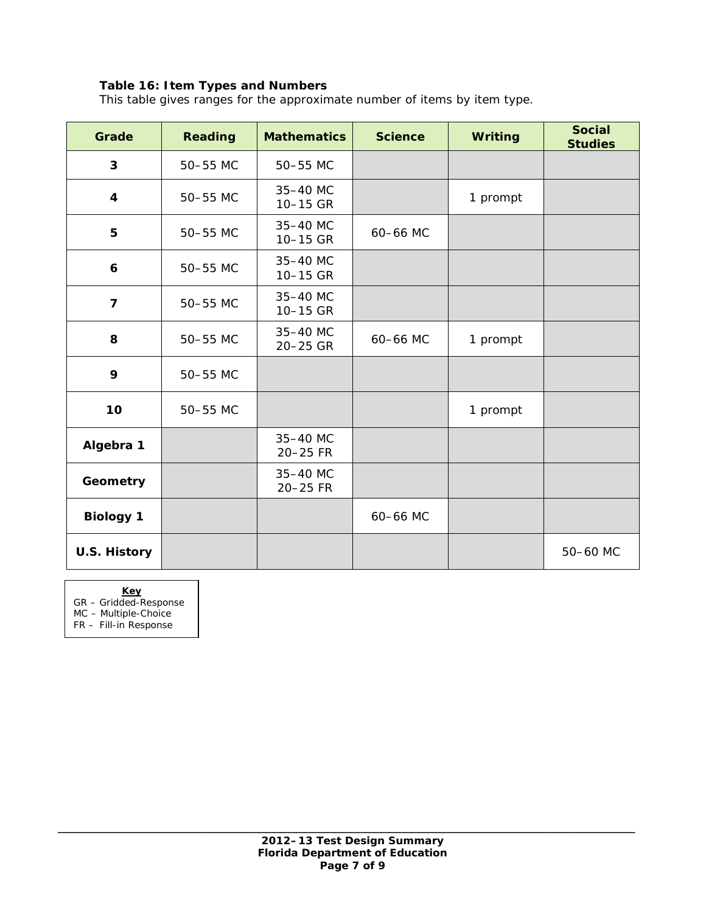# **Table 16: Item Types and Numbers**

*This table gives ranges for the approximate number of items by item type.* 

| Grade                   | <b>Reading</b> | <b>Mathematics</b>   | <b>Science</b> | <b>Writing</b> | <b>Social</b><br><b>Studies</b> |
|-------------------------|----------------|----------------------|----------------|----------------|---------------------------------|
| 3                       | 50-55 MC       | 50-55 MC             |                |                |                                 |
| 4                       | 50-55 MC       | 35-40 MC<br>10-15 GR |                | 1 prompt       |                                 |
| 5                       | 50-55 MC       | 35-40 MC<br>10-15 GR | 60-66 MC       |                |                                 |
| 6                       | 50-55 MC       | 35-40 MC<br>10-15 GR |                |                |                                 |
| $\overline{\mathbf{z}}$ | 50-55 MC       | 35-40 MC<br>10-15 GR |                |                |                                 |
| 8                       | 50-55 MC       | 35-40 MC<br>20-25 GR | 60-66 MC       | 1 prompt       |                                 |
| 9                       | 50-55 MC       |                      |                |                |                                 |
| 10                      | 50-55 MC       |                      |                | 1 prompt       |                                 |
| Algebra 1               |                | 35-40 MC<br>20-25 FR |                |                |                                 |
| Geometry                |                | 35-40 MC<br>20-25 FR |                |                |                                 |
| <b>Biology 1</b>        |                |                      | 60-66 MC       |                |                                 |
| <b>U.S. History</b>     |                |                      |                |                | 50-60 MC                        |

**Key**

GR – Gridded-Response

MC – Multiple-Choice

FR – Fill-in Response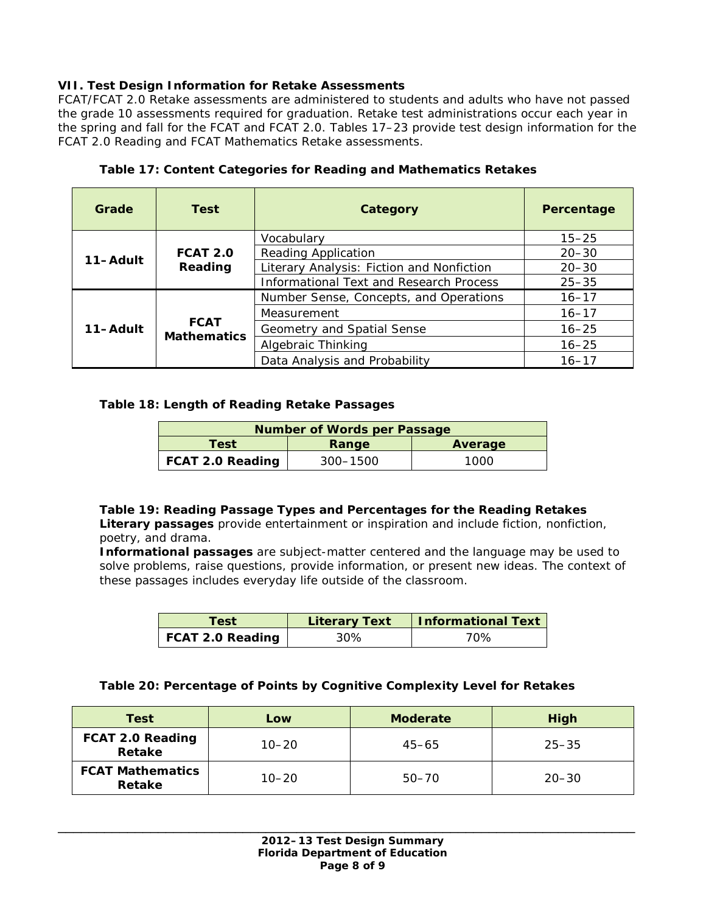# **VII. Test Design Information for Retake Assessments**

FCAT/FCAT 2.0 Retake assessments are administered to students and adults who have not passed the grade 10 assessments required for graduation. Retake test administrations occur each year in the spring and fall for the FCAT and FCAT 2.0. Tables 17–23 provide test design information for the FCAT 2.0 Reading and FCAT Mathematics Retake assessments.

| Grade    | <b>Test</b>                       | Category                                       | Percentage |
|----------|-----------------------------------|------------------------------------------------|------------|
|          |                                   | Vocabulary                                     | $15 - 25$  |
| 11-Adult | <b>FCAT 2.0</b>                   | <b>Reading Application</b>                     | $20 - 30$  |
|          | Reading                           | Literary Analysis: Fiction and Nonfiction      | $20 - 30$  |
|          |                                   | <b>Informational Text and Research Process</b> | $25 - 35$  |
|          |                                   | Number Sense, Concepts, and Operations         | $16 - 17$  |
|          |                                   | Measurement                                    | $16 - 17$  |
| 11-Adult | <b>FCAT</b><br><b>Mathematics</b> | Geometry and Spatial Sense                     | $16 - 25$  |
|          |                                   | Algebraic Thinking                             | $16 - 25$  |
|          |                                   | Data Analysis and Probability                  | $16 - 17$  |

### **Table 17: Content Categories for Reading and Mathematics Retakes**

### **Table 18: Length of Reading Retake Passages**

| <b>Number of Words per Passage</b> |          |      |
|------------------------------------|----------|------|
| Test<br>Average<br>Range           |          |      |
| FCAT 2.0 Reading                   | 300–1500 | 1000 |

## **Table 19: Reading Passage Types and Percentages for the Reading Retakes**

*Literary passages provide entertainment or inspiration and include fiction, nonfiction, poetry, and drama.* 

*Informational passages are subject-matter centered and the language may be used to solve problems, raise questions, provide information, or present new ideas. The context of these passages includes everyday life outside of the classroom.*

| Test             | <b>Literary Text</b> | Informational Text |
|------------------|----------------------|--------------------|
| FCAT 2.0 Reading | 30%                  | 70%                |

#### **Table 20: Percentage of Points by Cognitive Complexity Level for Retakes**

| Test                              | Low       | <b>Moderate</b> | High      |
|-----------------------------------|-----------|-----------------|-----------|
| FCAT 2.0 Reading<br>Retake        | $10 - 20$ | $45 - 65$       | $25 - 35$ |
| <b>FCAT Mathematics</b><br>Retake | $10 - 20$ | $50 - 70$       | $20 - 30$ |

\_\_\_\_\_\_\_\_\_\_\_\_\_\_\_\_\_\_\_\_\_\_\_\_\_\_\_\_\_\_\_\_\_\_\_\_\_\_\_\_\_\_\_\_\_\_\_\_\_\_\_\_\_\_\_\_\_\_\_\_\_\_\_\_\_\_\_\_\_\_\_\_\_\_\_